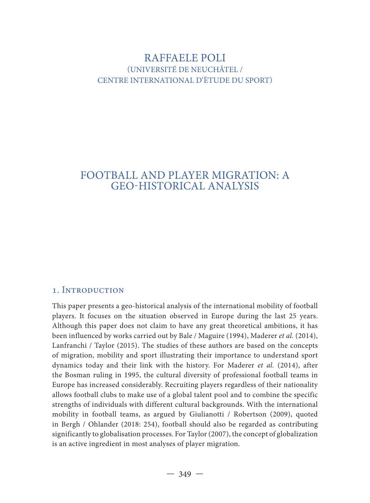## RAFFAELE POLI (UNIVERSITÉ DE NEUCHÂTEL / CENTRE INTERNATIONAL D'ÈTUDE DU SPORT)

# FOOTBALL AND PLAYER MIGRATION: A GEO-HISTORICAL ANALYSIS

## 1. INTRODUCTION

This paper presents a geo-historical analysis of the international mobility of football players. It focuses on the situation observed in Europe during the last 25 years. Although this paper does not claim to have any great theoretical ambitions, it has been influenced by works carried out by Bale / Maguire (1994), Maderer *et al.* (2014), Lanfranchi / Taylor (2015). The studies of these authors are based on the concepts of migration, mobility and sport illustrating their importance to understand sport dynamics today and their link with the history. For Maderer *et al.* (2014), after the Bosman ruling in 1995, the cultural diversity of professional football teams in Europe has increased considerably. Recruiting players regardless of their nationality allows football clubs to make use of a global talent pool and to combine the specific strengths of individuals with different cultural backgrounds. With the international mobility in football teams, as argued by Giulianotti / Robertson (2009), quoted in Bergh / Ohlander (2018: 254), football should also be regarded as contributing significantly to globalisation processes. For Taylor (2007), the concept of globalization is an active ingredient in most analyses of player migration.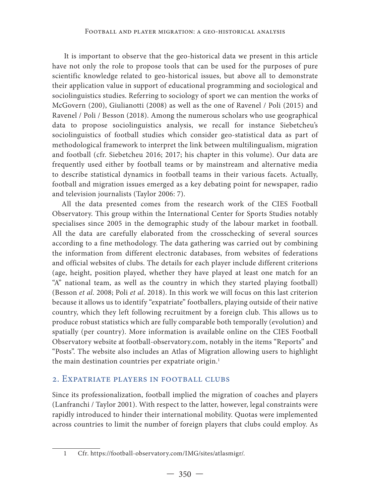It is important to observe that the geo-historical data we present in this article have not only the role to propose tools that can be used for the purposes of pure scientific knowledge related to geo-historical issues, but above all to demonstrate their application value in support of educational programming and sociological and sociolinguistics studies. Referring to sociology of sport we can mention the works of McGovern (200), Giulianotti (2008) as well as the one of Ravenel / Poli (2015) and Ravenel / Poli / Besson (2018). Among the numerous scholars who use geographical data to propose sociolinguistics analysis, we recall for instance Siebetcheu's sociolinguistics of football studies which consider geo-statistical data as part of methodological framework to interpret the link between multilingualism, migration and football (cfr. Siebetcheu 2016; 2017; his chapter in this volume). Our data are frequently used either by football teams or by mainstream and alternative media to describe statistical dynamics in football teams in their various facets. Actually, football and migration issues emerged as a key debating point for newspaper, radio and television journalists (Taylor 2006: 7).

All the data presented comes from the research work of the CIES Football Observatory. This group within the International Center for Sports Studies notably specialises since 2005 in the demographic study of the labour market in football. All the data are carefully elaborated from the crosschecking of several sources according to a fine methodology. The data gathering was carried out by combining the information from different electronic databases, from websites of federations and official websites of clubs. The details for each player include different criterions (age, height, position played, whether they have played at least one match for an "A" national team, as well as the country in which they started playing football) (Besson *et al*. 2008; Poli *et al*. 2018). In this work we will focus on this last criterion because it allows us to identify "expatriate" footballers, playing outside of their native country, which they left following recruitment by a foreign club. This allows us to produce robust statistics which are fully comparable both temporally (evolution) and spatially (per country). More information is available online on the CIES Football Observatory website at football-observatory.com, notably in the items "Reports" and "Posts". The website also includes an Atlas of Migration allowing users to highlight the main destination countries per expatriate origin.<sup>1</sup>

#### 2. Expatriate players in football clubs

Since its professionalization, football implied the migration of coaches and players (Lanfranchi / Taylor 2001). With respect to the latter, however, legal constraints were rapidly introduced to hinder their international mobility. Quotas were implemented across countries to limit the number of foreign players that clubs could employ. As

<sup>1</sup> Cfr. https://football-observatory.com/IMG/sites/atlasmigr/.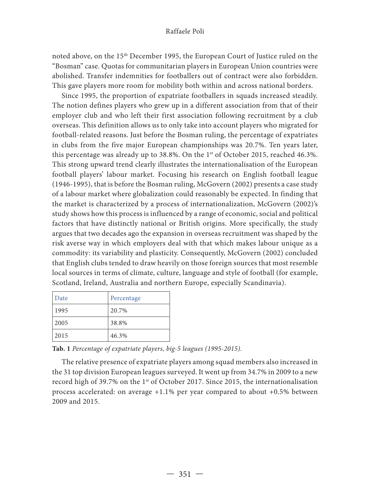#### Raffaele Poli

noted above, on the 15th December 1995, the European Court of Justice ruled on the "Bosman" case. Quotas for communitarian players in European Union countries were abolished. Transfer indemnities for footballers out of contract were also forbidden. This gave players more room for mobility both within and across national borders.

Since 1995, the proportion of expatriate footballers in squads increased steadily. The notion defines players who grew up in a different association from that of their employer club and who left their first association following recruitment by a club overseas. This definition allows us to only take into account players who migrated for football-related reasons. Just before the Bosman ruling, the percentage of expatriates in clubs from the five major European championships was 20.7%. Ten years later, this percentage was already up to 38.8%. On the  $1<sup>st</sup>$  of October 2015, reached 46.3%. This strong upward trend clearly illustrates the internationalisation of the European football players' labour market. Focusing his research on English football league (1946-1995), that is before the Bosman ruling, McGovern (2002) presents a case study of a labour market where globalization could reasonably be expected. In finding that the market is characterized by a process of internationalization, McGovern (2002)'s study shows how this process is influenced by a range of economic, social and political factors that have distinctly national or British origins. More specifically, the study argues that two decades ago the expansion in overseas recruitment was shaped by the risk averse way in which employers deal with that which makes labour unique as a commodity: its variability and plasticity. Consequently, McGovern (2002) concluded that English clubs tended to draw heavily on those foreign sources that most resemble local sources in terms of climate, culture, language and style of football (for example, Scotland, Ireland, Australia and northern Europe, especially Scandinavia).

| Date | Percentage |
|------|------------|
| 1995 | 20.7%      |
| 2005 | 38.8%      |
| 2015 | 46.3%      |

**Tab. 1** *Percentage of expatriate players, big-5 leagues (1995-2015).*

The relative presence of expatriate players among squad members also increased in the 31 top division European leagues surveyed. It went up from 34.7% in 2009 to a new record high of 39.7% on the 1st of October 2017. Since 2015, the internationalisation process accelerated: on average +1.1% per year compared to about +0.5% between 2009 and 2015.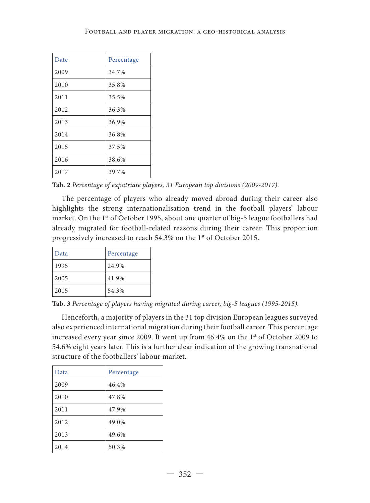| Date | Percentage |
|------|------------|
| 2009 | 34.7%      |
| 2010 | 35.8%      |
| 2011 | 35.5%      |
| 2012 | 36.3%      |
| 2013 | 36.9%      |
| 2014 | 36.8%      |
| 2015 | 37.5%      |
| 2016 | 38.6%      |
| 2017 | 39.7%      |

**Tab. 2** *Percentage of expatriate players, 31 European top divisions (2009-2017).*

The percentage of players who already moved abroad during their career also highlights the strong internationalisation trend in the football players' labour market. On the 1<sup>st</sup> of October 1995, about one quarter of big-5 league footballers had already migrated for football-related reasons during their career. This proportion progressively increased to reach 54.3% on the 1<sup>st</sup> of October 2015.

| Data | Percentage |  |
|------|------------|--|
| 1995 | 24.9%      |  |
| 2005 | 41.9%      |  |
| 2015 | 54.3%      |  |

**Tab. 3** *Percentage of players having migrated during career, big-5 leagues (1995-2015).*

Henceforth, a majority of players in the 31 top division European leagues surveyed also experienced international migration during their football career. This percentage increased every year since 2009. It went up from 46.4% on the 1<sup>st</sup> of October 2009 to 54.6% eight years later. This is a further clear indication of the growing transnational structure of the footballers' labour market.

| Data | Percentage |
|------|------------|
| 2009 | 46.4%      |
| 2010 | 47.8%      |
| 2011 | 47.9%      |
| 2012 | 49.0%      |
| 2013 | 49.6%      |
| 2014 | 50.3%      |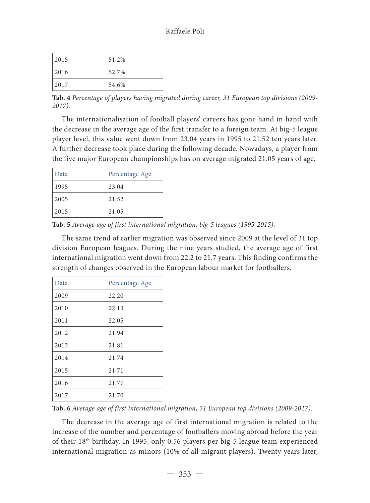| 2015 | 51.2% |
|------|-------|
| 2016 | 52.7% |
| 2017 | 54.6% |

**Tab. 4** *Percentage of players having migrated during career, 31 European top divisions (2009- 2017).*

The internationalisation of football players' careers has gone hand in hand with the decrease in the average age of the first transfer to a foreign team. At big-5 league player level, this value went down from 23.04 years in 1995 to 21.52 ten years later. A further decrease took place during the following decade. Nowadays, a player from the five major European championships has on average migrated 21.05 years of age.

| Data | Percentage Age |
|------|----------------|
| 1995 | 23.04          |
| 2005 | 21.52          |
| 2015 | 21.05          |

**Tab. 5** *Average age of first international migration, big-5 leagues (1995-2015)*.

The same trend of earlier migration was observed since 2009 at the level of 31 top division European leagues. During the nine years studied, the average age of first international migration went down from 22.2 to 21.7 years. This finding confirms the strength of changes observed in the European labour market for footballers.

| Data | Percentage Age |
|------|----------------|
| 2009 | 22.20          |
| 2010 | 22.13          |
| 2011 | 22.05          |
| 2012 | 21.94          |
| 2013 | 21.81          |
| 2014 | 21.74          |
| 2015 | 21.71          |
| 2016 | 21.77          |
| 2017 | 21.70          |

**Tab. 6** *Average age of first international migration, 31 European top divisions (2009-2017)*.

The decrease in the average age of first international migration is related to the increase of the number and percentage of footballers moving abroad before the year of their 18th birthday. In 1995, only 0.56 players per big-5 league team experienced international migration as minors (10% of all migrant players). Twenty years later,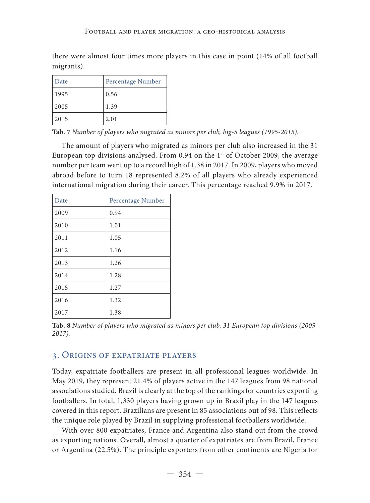there were almost four times more players in this case in point (14% of all football migrants).

| Date | Percentage Number |
|------|-------------------|
| 1995 | 0.56              |
| 2005 | 1.39              |
| 2015 | 2.01              |

**Tab. 7** *Number of players who migrated as minors per club, big-5 leagues (1995-2015).*

The amount of players who migrated as minors per club also increased in the 31 European top divisions analysed. From 0.94 on the 1<sup>st</sup> of October 2009, the average number per team went up to a record high of 1.38 in 2017. In 2009, players who moved abroad before to turn 18 represented 8.2% of all players who already experienced international migration during their career. This percentage reached 9.9% in 2017.

| Date | Percentage Number |
|------|-------------------|
| 2009 | 0.94              |
| 2010 | 1.01              |
| 2011 | 1.05              |
| 2012 | 1.16              |
| 2013 | 1.26              |
| 2014 | 1.28              |
| 2015 | 1.27              |
| 2016 | 1.32              |
| 2017 | 1.38              |

**Tab. 8** *Number of players who migrated as minors per club, 31 European top divisions (2009- 2017).*

#### 3. Origins of expatriate players

Today, expatriate footballers are present in all professional leagues worldwide. In May 2019, they represent 21.4% of players active in the 147 leagues from 98 national associations studied. Brazil is clearly at the top of the rankings for countries exporting footballers. In total, 1,330 players having grown up in Brazil play in the 147 leagues covered in this report. Brazilians are present in 85 associations out of 98. This reflects the unique role played by Brazil in supplying professional footballers worldwide.

With over 800 expatriates, France and Argentina also stand out from the crowd as exporting nations. Overall, almost a quarter of expatriates are from Brazil, France or Argentina (22.5%). The principle exporters from other continents are Nigeria for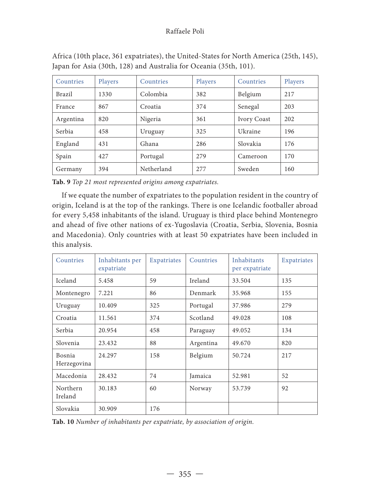#### Raffaele Poli

| Countries | Players | Countries  | Players | Countries   | Players |
|-----------|---------|------------|---------|-------------|---------|
| Brazil    | 1330    | Colombia   | 382     | Belgium     | 217     |
| France    | 867     | Croatia    | 374     | Senegal     | 203     |
| Argentina | 820     | Nigeria    | 361     | Ivory Coast | 202     |
| Serbia    | 458     | Uruguay    | 325     | Ukraine     | 196     |
| England   | 431     | Ghana      | 286     | Slovakia    | 176     |
| Spain     | 427     | Portugal   | 279     | Cameroon    | 170     |
| Germany   | 394     | Netherland | 277     | Sweden      | 160     |

Africa (10th place, 361 expatriates), the United-States for North America (25th, 145), Japan for Asia (30th, 128) and Australia for Oceania (35th, 101).

**Tab. 9** *Top 21 most represented origins among expatriates.*

If we equate the number of expatriates to the population resident in the country of origin, Iceland is at the top of the rankings. There is one Icelandic footballer abroad for every 5,458 inhabitants of the island. Uruguay is third place behind Montenegro and ahead of five other nations of ex-Yugoslavia (Croatia, Serbia, Slovenia, Bosnia and Macedonia). Only countries with at least 50 expatriates have been included in this analysis.

| Countries             | Inhabitants per<br>expatriate | Expatriates | Countries |        | Expatriates |
|-----------------------|-------------------------------|-------------|-----------|--------|-------------|
| <b>Iceland</b>        | 5.458                         | 59          | Ireland   | 33.504 | 135         |
| Montenegro            | 7.221                         | 86          | Denmark   | 35.968 | 155         |
| Uruguay               | 10.409                        | 325         | Portugal  | 37.986 | 279         |
| Croatia               | 11.561                        | 374         | Scotland  | 49.028 | 108         |
| Serbia                | 20.954                        | 458         | Paraguay  | 49.052 | 134         |
| Slovenia              | 23.432                        | 88          | Argentina | 49.670 | 820         |
| Bosnia<br>Herzegovina | 24.297                        | 158         | Belgium   | 50.724 | 217         |
| Macedonia             | 28.432                        | 74          | Jamaica   | 52.981 | 52          |
| Northern<br>Ireland   | 30.183                        | 60          | Norway    | 53.739 | 92          |
| Slovakia              | 30.909                        | 176         |           |        |             |

**Tab. 10** *Number of inhabitants per expatriate, by association of origin.*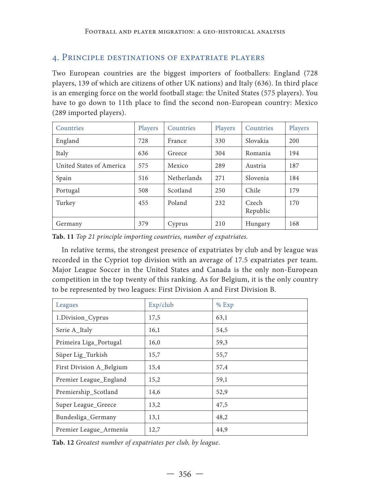### 4. Principle destinations of expatriate players

Two European countries are the biggest importers of footballers: England (728 players, 139 of which are citizens of other UK nations) and Italy (636). In third place is an emerging force on the world football stage: the United States (575 players). You have to go down to 11th place to find the second non-European country: Mexico (289 imported players).

| Countries                | Players | Countries   | Players | Countries         | Players |
|--------------------------|---------|-------------|---------|-------------------|---------|
| England                  | 728     | France      | 330     | Slovakia          | 200     |
| Italy                    | 636     | Greece      | 304     | Romania           | 194     |
| United States of America | 575     | Mexico      | 289     | Austria           | 187     |
| Spain                    | 516     | Netherlands | 271     | Slovenia          | 184     |
| Portugal                 | 508     | Scotland    | 250     | Chile             | 179     |
| Turkey                   | 455     | Poland      | 232     | Czech<br>Republic | 170     |
| Germany                  | 379     | Cyprus      | 210     | Hungary           | 168     |

**Tab. 11** *Top 21 principle importing countries, number of expatriates.* 

In relative terms, the strongest presence of expatriates by club and by league was recorded in the Cypriot top division with an average of 17.5 expatriates per team. Major League Soccer in the United States and Canada is the only non-European competition in the top twenty of this ranking. As for Belgium, it is the only country to be represented by two leagues: First Division A and First Division B.

| Leagues                  | Exp/club | $%$ Exp |
|--------------------------|----------|---------|
| 1.Division_Cyprus        | 17,5     | 63,1    |
| Serie A_Italy            | 16,1     | 54,5    |
| Primeira Liga_Portugal   | 16,0     | 59,3    |
| Süper Lig_Turkish        | 15,7     | 55,7    |
| First Division A_Belgium | 15,4     | 57,4    |
| Premier League_England   | 15,2     | 59,1    |
| Premiership_Scotland     | 14,6     | 52,9    |
| Super League_Greece      | 13,2     | 47,5    |
| Bundesliga_Germany       | 13,1     | 48,2    |
| Premier League_Armenia   | 12,7     | 44,9    |

**Tab. 12** *Greatest number of expatriates per club, by league*.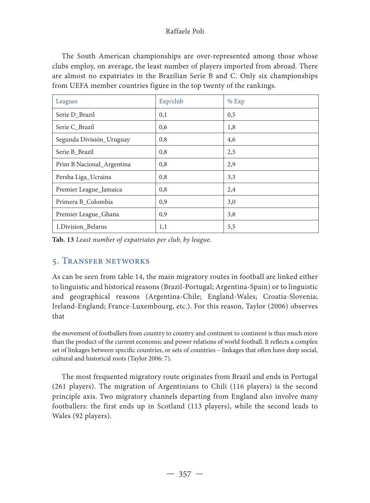#### Raffaele Poli

The South American championships are over-represented among those whose clubs employ, on average, the least number of players imported from abroad. There are almost no expatriates in the Brazilian Serie B and C. Only six championships from UEFA member countries figure in the top twenty of the rankings.

| Leagues                   | Exp/club | $%$ Exp |
|---------------------------|----------|---------|
| Serie D_Brazil            | 0,1      | 0,5     |
| Serie C_Brazil            | 0,6      | 1,8     |
| Segunda División_Uruguay  | 0,8      | 4,6     |
| Serie B Brazil            | 0,8      | 2,5     |
| Prim B Nacional_Argentina | 0,8      | 2,9     |
| Persha Liga_Ucraina       | 0,8      | 3,3     |
| Premier League_Jamaica    | 0,8      | 2,4     |
| Primera B_Colombia        | 0,9      | 3,0     |
| Premier League_Ghana      | 0,9      | 3,8     |
| 1. Division_Belarus       | 1,1      | 5,5     |

**Tab. 13** *Least number of expatriates per club, by league*.

## 5. Transfer networks

As can be seen from table 14, the main migratory routes in football are linked either to linguistic and historical reasons (Brazil-Portugal; Argentina-Spain) or to linguistic and geographical reasons (Argentina-Chile; England-Wales; Croatia-Slovenia; Ireland-England; France-Luxembourg, etc.). For this reason, Taylor (2006) observes that

the movement of footballers from country to country and continent to continent is thus much more than the product of the current economic and power relations of world football. It reflects a complex set of linkages between specific countries, or sets of countries – linkages that often have deep social, cultural and historical roots (Taylor 2006: 7).

The most frequented migratory route originates from Brazil and ends in Portugal (261 players). The migration of Argentinians to Chili (116 players) is the second principle axis. Two migratory channels departing from England also involve many footballers: the first ends up in Scotland (113 players), while the second leads to Wales (92 players).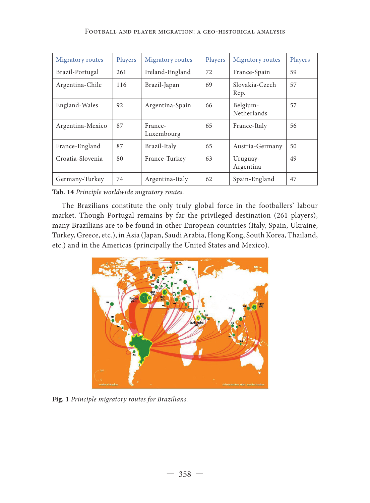| Migratory routes | Players | Migratory routes      | Players | Migratory routes        | Players |
|------------------|---------|-----------------------|---------|-------------------------|---------|
| Brazil-Portugal  | 261     | Ireland-England       | 72      | France-Spain            | 59      |
| Argentina-Chile  | 116     | Brazil-Japan          | 69      | Slovakia-Czech<br>Rep.  | 57      |
| England-Wales    | 92      | Argentina-Spain       | 66      | Belgium-<br>Netherlands | 57      |
| Argentina-Mexico | 87      | France-<br>Luxembourg | 65      | France-Italy            | 56      |
| France-England   | 87      | Brazil-Italy          | 65      | Austria-Germany         | 50      |
| Croatia-Slovenia | 80      | France-Turkey         | 63      | Uruguay-<br>Argentina   | 49      |
| Germany-Turkey   | 74      | Argentina-Italy       | 62      | Spain-England           | 47      |

**Tab. 14** *Principle worldwide migratory routes.*

The Brazilians constitute the only truly global force in the footballers' labour market. Though Portugal remains by far the privileged destination (261 players), many Brazilians are to be found in other European countries (Italy, Spain, Ukraine, Turkey, Greece, etc.), in Asia (Japan, Saudi Arabia, Hong Kong, South Korea, Thailand, etc.) and in the Americas (principally the United States and Mexico).



**Fig. 1** *Principle migratory routes for Brazilians.*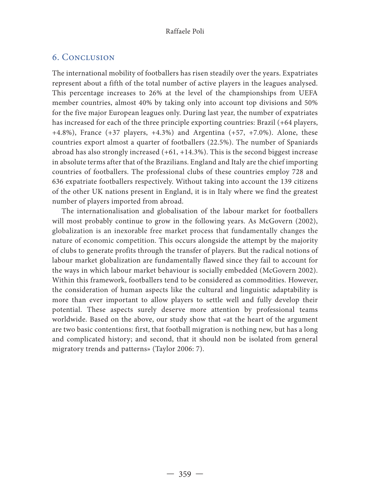## 6. Conclusion

The international mobility of footballers has risen steadily over the years. Expatriates represent about a fifth of the total number of active players in the leagues analysed. This percentage increases to 26% at the level of the championships from UEFA member countries, almost 40% by taking only into account top divisions and 50% for the five major European leagues only. During last year, the number of expatriates has increased for each of the three principle exporting countries: Brazil (+64 players, +4.8%), France (+37 players, +4.3%) and Argentina (+57, +7.0%). Alone, these countries export almost a quarter of footballers (22.5%). The number of Spaniards abroad has also strongly increased  $(+61, +14.3%)$ . This is the second biggest increase in absolute terms after that of the Brazilians. England and Italy are the chief importing countries of footballers. The professional clubs of these countries employ 728 and 636 expatriate footballers respectively. Without taking into account the 139 citizens of the other UK nations present in England, it is in Italy where we find the greatest number of players imported from abroad.

The internationalisation and globalisation of the labour market for footballers will most probably continue to grow in the following years. As McGovern (2002), globalization is an inexorable free market process that fundamentally changes the nature of economic competition. This occurs alongside the attempt by the majority of clubs to generate profits through the transfer of players. But the radical notions of labour market globalization are fundamentally flawed since they fail to account for the ways in which labour market behaviour is socially embedded (McGovern 2002). Within this framework, footballers tend to be considered as commodities. However, the consideration of human aspects like the cultural and linguistic adaptability is more than ever important to allow players to settle well and fully develop their potential. These aspects surely deserve more attention by professional teams worldwide. Based on the above, our study show that «at the heart of the argument are two basic contentions: first, that football migration is nothing new, but has a long and complicated history; and second, that it should non be isolated from general migratory trends and patterns» (Taylor 2006: 7).